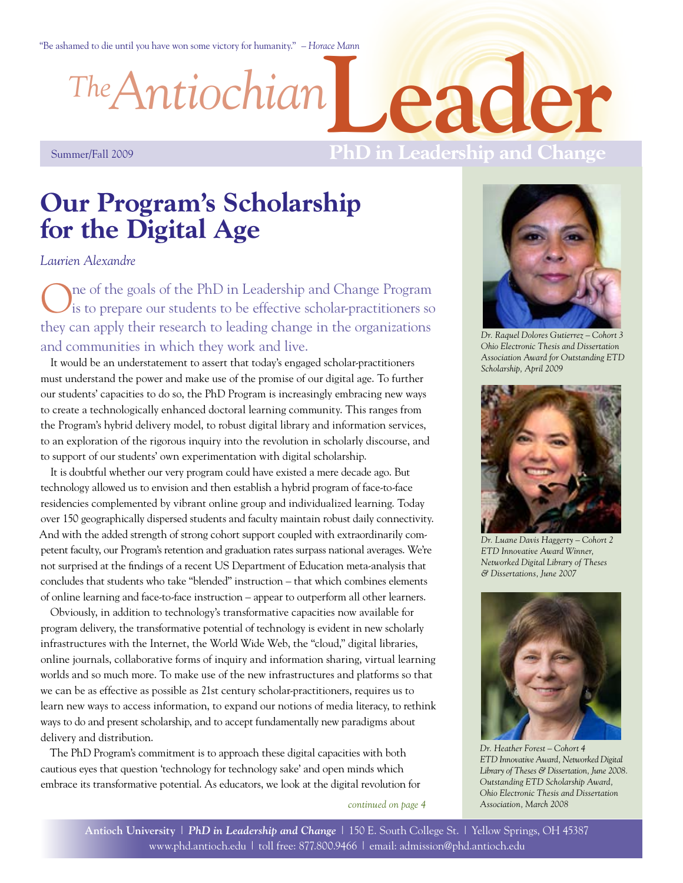"Be ashamed to die until you have won some victory for humanity." *– Horace Mann*

*Antiochian The*

**Leader**

#### Summer/Fall 2009

## **PhD in Leadership and Change**

# **Our Program's Scholarship for the Digital Age**

*Laurien Alexandre*

One of the goals of the PhD in Leadership and Change Program is to prepare our students to be effective scholar-practitioners so they can apply their research to leading change in the organizations and communities in which they work and live.

It would be an understatement to assert that today's engaged scholar-practitioners must understand the power and make use of the promise of our digital age. To further our students' capacities to do so, the PhD Program is increasingly embracing new ways to create a technologically enhanced doctoral learning community. This ranges from the Program's hybrid delivery model, to robust digital library and information services, to an exploration of the rigorous inquiry into the revolution in scholarly discourse, and to support of our students' own experimentation with digital scholarship.

It is doubtful whether our very program could have existed a mere decade ago. But technology allowed us to envision and then establish a hybrid program of face-to-face residencies complemented by vibrant online group and individualized learning. Today over 150 geographically dispersed students and faculty maintain robust daily connectivity. And with the added strength of strong cohort support coupled with extraordinarily competent faculty, our Program's retention and graduation rates surpass national averages. We're not surprised at the findings of a recent US Department of Education meta-analysis that concludes that students who take "blended" instruction – that which combines elements of online learning and face-to-face instruction – appear to outperform all other learners.

Obviously, in addition to technology's transformative capacities now available for program delivery, the transformative potential of technology is evident in new scholarly infrastructures with the Internet, the World Wide Web, the "cloud," digital libraries, online journals, collaborative forms of inquiry and information sharing, virtual learning worlds and so much more. To make use of the new infrastructures and platforms so that we can be as effective as possible as 21st century scholar-practitioners, requires us to learn new ways to access information, to expand our notions of media literacy, to rethink ways to do and present scholarship, and to accept fundamentally new paradigms about delivery and distribution.

The PhD Program's commitment is to approach these digital capacities with both cautious eyes that question 'technology for technology sake' and open minds which embrace its transformative potential. As educators, we look at the digital revolution for

*continued on page 4*



*Dr. Raquel Dolores Gutierrez – Cohort 3 Ohio Electronic Thesis and Dissertation Association Award for Outstanding ETD Scholarship, April 2009*



*Dr. Luane Davis Haggerty – Cohort 2 ETD Innovative Award Winner, Networked Digital Library of Theses & Dissertations, June 2007*



*Dr. Heather Forest – Cohort 4 ETD Innovative Award, Networked Digital Library of Theses & Dissertation, June 2008. Outstanding ETD Scholarship Award, Ohio Electronic Thesis and Dissertation Association, March 2008*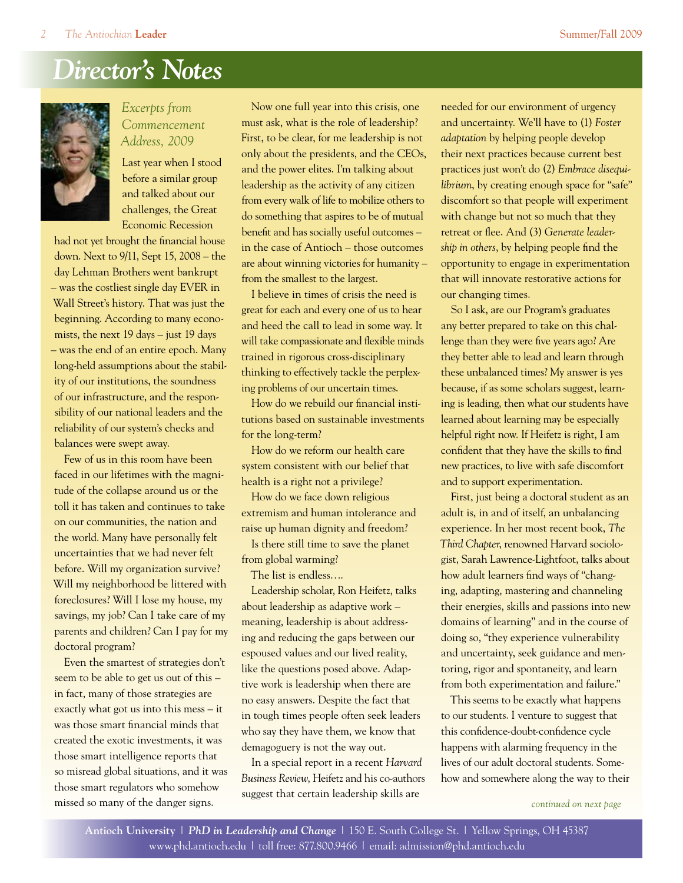# *Director's Notes*



*Excerpts from Commencement Address, 2009*

Last year when I stood before a similar group and talked about our challenges, the Great Economic Recession

had not yet brought the financial house down. Next to 9/11, Sept 15, 2008 – the day Lehman Brothers went bankrupt – was the costliest single day EVER in Wall Street's history. That was just the beginning. According to many economists, the next 19 days – just 19 days – was the end of an entire epoch. Many long-held assumptions about the stability of our institutions, the soundness of our infrastructure, and the responsibility of our national leaders and the reliability of our system's checks and balances were swept away.

Few of us in this room have been faced in our lifetimes with the magnitude of the collapse around us or the toll it has taken and continues to take on our communities, the nation and the world. Many have personally felt uncertainties that we had never felt before. Will my organization survive? Will my neighborhood be littered with foreclosures? Will I lose my house, my savings, my job? Can I take care of my parents and children? Can I pay for my doctoral program?

Even the smartest of strategies don't seem to be able to get us out of this – in fact, many of those strategies are exactly what got us into this mess – it was those smart financial minds that created the exotic investments, it was those smart intelligence reports that so misread global situations, and it was those smart regulators who somehow missed so many of the danger signs.

Now one full year into this crisis, one must ask, what is the role of leadership? First, to be clear, for me leadership is not only about the presidents, and the CEOs, and the power elites. I'm talking about leadership as the activity of any citizen from every walk of life to mobilize others to do something that aspires to be of mutual benefit and has socially useful outcomes – in the case of Antioch – those outcomes are about winning victories for humanity – from the smallest to the largest.

I believe in times of crisis the need is great for each and every one of us to hear and heed the call to lead in some way. It will take compassionate and flexible minds trained in rigorous cross-disciplinary thinking to effectively tackle the perplexing problems of our uncertain times.

How do we rebuild our financial institutions based on sustainable investments for the long-term?

How do we reform our health care system consistent with our belief that health is a right not a privilege?

How do we face down religious extremism and human intolerance and raise up human dignity and freedom?

Is there still time to save the planet from global warming?

The list is endless….

Leadership scholar, Ron Heifetz, talks about leadership as adaptive work – meaning, leadership is about addressing and reducing the gaps between our espoused values and our lived reality, like the questions posed above. Adaptive work is leadership when there are no easy answers. Despite the fact that in tough times people often seek leaders who say they have them, we know that demagoguery is not the way out.

In a special report in a recent *Harvard Business Review*, Heifetz and his co-authors suggest that certain leadership skills are

needed for our environment of urgency and uncertainty. We'll have to (1) *Foster adaptation* by helping people develop their next practices because current best practices just won't do (2) *Embrace disequilibrium*, by creating enough space for "safe" discomfort so that people will experiment with change but not so much that they retreat or flee. And (3) *Generate leadership in others*, by helping people find the opportunity to engage in experimentation that will innovate restorative actions for our changing times.

So I ask, are our Program's graduates any better prepared to take on this challenge than they were five years ago? Are they better able to lead and learn through these unbalanced times? My answer is yes because, if as some scholars suggest, learning is leading, then what our students have learned about learning may be especially helpful right now. If Heifetz is right, I am confident that they have the skills to find new practices, to live with safe discomfort and to support experimentation.

First, just being a doctoral student as an adult is, in and of itself, an unbalancing experience. In her most recent book, *The Third Chapter*, renowned Harvard sociologist, Sarah Lawrence-Lightfoot, talks about how adult learners find ways of "changing, adapting, mastering and channeling their energies, skills and passions into new domains of learning" and in the course of doing so, "they experience vulnerability and uncertainty, seek guidance and mentoring, rigor and spontaneity, and learn from both experimentation and failure."

This seems to be exactly what happens to our students. I venture to suggest that this confidence-doubt-confidence cycle happens with alarming frequency in the lives of our adult doctoral students. Somehow and somewhere along the way to their

*continued on next page*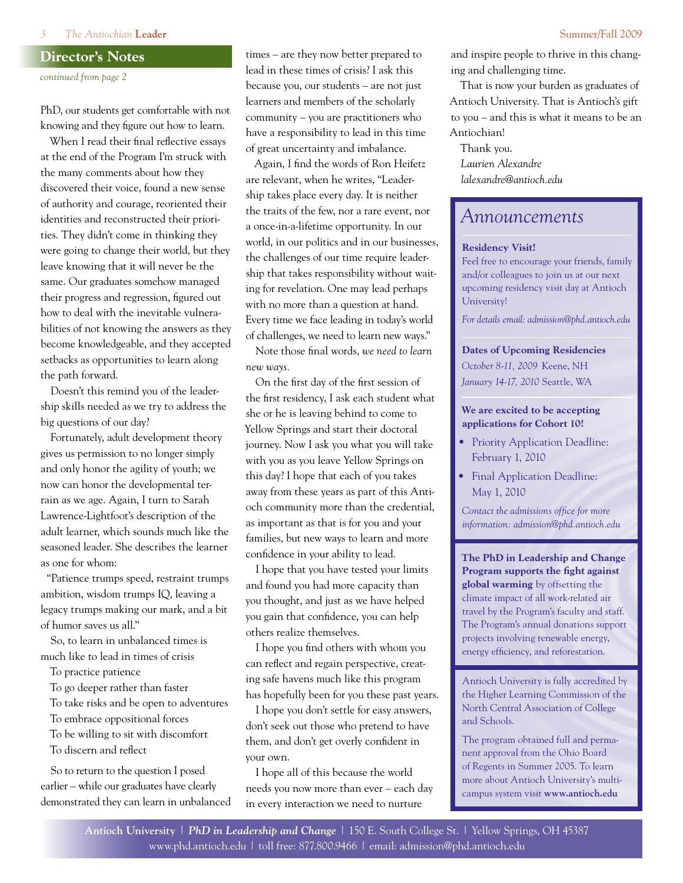#### **Director's Notes**

*continued from page 2*

PhD, our students get comfortable with not knowing and they figure out how to learn.

When I read their final reflective essays at the end of the Program I'm struck with the many comments about how they discovered their voice, found a new sense of authority and courage, reoriented their identities and reconstructed their priorities. They didn't come in thinking they were going to change their world, but they leave knowing that it will never be the same. Our graduates somehow managed their progress and regression, figured out how to deal with the inevitable vulnerabilities of not knowing the answers as they become knowledgeable, and they accepted setbacks as opportunities to learn along the path forward.

Doesn't this remind you of the leadership skills needed as we try to address the big questions of our day?

Fortunately, adult development theory gives us permission to no longer simply and only honor the agility of youth; we now can honor the developmental terrain as we age. Again, I turn to Sarah Lawrence-Lightfoot's description of the adult learner, which sounds much like the seasoned leader. She describes the learner as one for whom:

"Patience trumps speed, restraint trumps ambition, wisdom trumps IQ, leaving a legacy trumps making our mark, and a bit of humor saves us all."

So, to learn in unbalanced times is much like to lead in times of crisis

To practice patience

To go deeper rather than faster

To take risks and be open to adventures

To embrace oppositional forces

To be willing to sit with discomfort To discern and reflect

So to return to the question I posed earlier – while our graduates have clearly demonstrated they can learn in unbalanced times – are they now better prepared to lead in these times of crisis? I ask this because you, our students – are not just learners and members of the scholarly community – you are practitioners who have a responsibility to lead in this time of great uncertainty and imbalance.

Again, I find the words of Ron Heifetz are relevant, when he writes, "Leadership takes place every day. It is neither the traits of the few, nor a rare event, nor a once-in-a-lifetime opportunity. In our world, in our politics and in our businesses, the challenges of our time require leadership that takes responsibility without waiting for revelation. One may lead perhaps with no more than a question at hand. Every time we face leading in today's world of challenges, we need to learn new ways."

Note those final words, *we need to learn new ways.*

On the first day of the first session of the first residency, I ask each student what she or he is leaving behind to come to Yellow Springs and start their doctoral journey. Now I ask you what you will take with you as you leave Yellow Springs on this day? I hope that each of you takes away from these years as part of this Antioch community more than the credential, as important as that is for you and your families, but new ways to learn and more confidence in your ability to lead.

I hope that you have tested your limits and found you had more capacity than you thought, and just as we have helped you gain that confidence, you can help others realize themselves.

I hope you find others with whom you can reflect and regain perspective, creating safe havens much like this program has hopefully been for you these past years.

I hope you don't settle for easy answers, don't seek out those who pretend to have them, and don't get overly confident in your own.

I hope all of this because the world needs you now more than ever – each day in every interaction we need to nurture

and inspire people to thrive in this changing and challenging time.

That is now your burden as graduates of Antioch University. That is Antioch's gift to you – and this is what it means to be an Antiochian!

Thank you. *Laurien Alexandre lalexandre@antioch.edu*

## *Announcements*

#### **Residency Visit!**

Feel free to encourage your friends, family and/or colleagues to join us at our next upcoming residency visit day at Antioch University!

*For details email: admission@phd.antioch.edu*

**Dates of Upcoming Residencies** *October 8-11, 2009* Keene, NH *January 14-17, 2010* Seattle, WA

#### **We are excited to be accepting applications for Cohort 10!**

- Priority Application Deadline: February 1, 2010
- Final Application Deadline: May 1, 2010

*Contact the admissions office for more information: admission@phd.antioch.edu*

**The PhD in Leadership and Change Program supports the fight against global warming** by offsetting the climate impact of all work-related air travel by the Program's faculty and staff. The Program's annual donations support projects involving renewable energy, energy efficiency, and reforestation.

Antioch University is fully accredited by the Higher Learning Commission of the North Central Association of College and Schools.

The program obtained full and permanent approval from the Ohio Board of Regents in Summer 2005. To learn more about Antioch University's multicampus system visit **www.antioch.edu**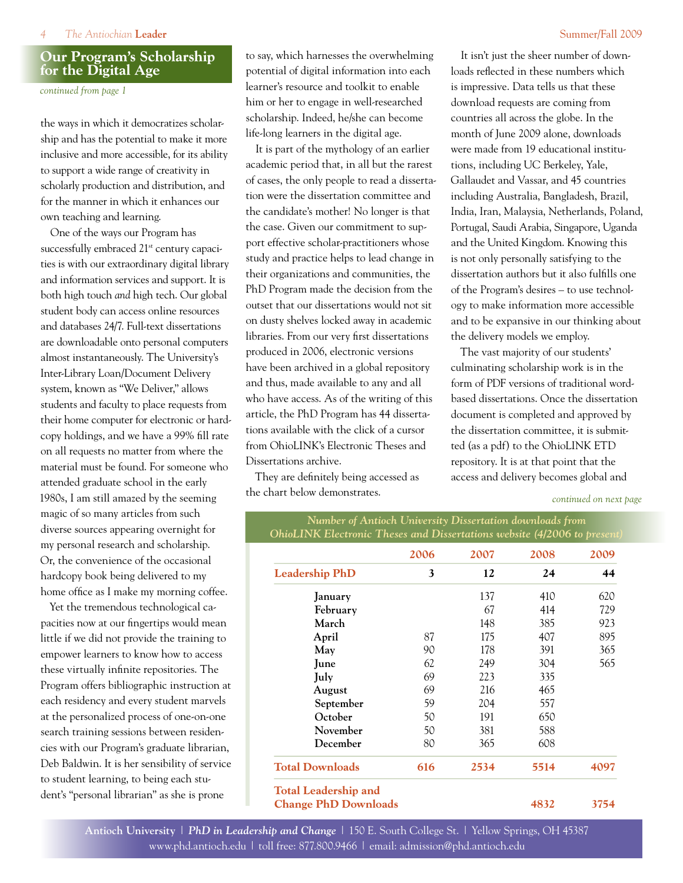#### *4 The Antiochian* **Leader** Summer/Fall 2009

#### **Our Program's Scholarship for the Digital Age**

*continued from page 1*

the ways in which it democratizes scholarship and has the potential to make it more inclusive and more accessible, for its ability to support a wide range of creativity in scholarly production and distribution, and for the manner in which it enhances our own teaching and learning.

One of the ways our Program has successfully embraced 21<sup>st</sup> century capacities is with our extraordinary digital library and information services and support. It is both high touch *and* high tech. Our global student body can access online resources and databases 24/7. Full-text dissertations are downloadable onto personal computers almost instantaneously. The University's Inter-Library Loan/Document Delivery system, known as "We Deliver," allows students and faculty to place requests from their home computer for electronic or hardcopy holdings, and we have a 99% fill rate on all requests no matter from where the material must be found. For someone who attended graduate school in the early 1980s, I am still amazed by the seeming magic of so many articles from such diverse sources appearing overnight for my personal research and scholarship. Or, the convenience of the occasional hardcopy book being delivered to my home office as I make my morning coffee.

Yet the tremendous technological capacities now at our fingertips would mean little if we did not provide the training to empower learners to know how to access these virtually infinite repositories. The Program offers bibliographic instruction at each residency and every student marvels at the personalized process of one-on-one search training sessions between residencies with our Program's graduate librarian, Deb Baldwin. It is her sensibility of service to student learning, to being each student's "personal librarian" as she is prone

to say, which harnesses the overwhelming potential of digital information into each learner's resource and toolkit to enable him or her to engage in well-researched scholarship. Indeed, he/she can become life-long learners in the digital age.

It is part of the mythology of an earlier academic period that, in all but the rarest of cases, the only people to read a dissertation were the dissertation committee and the candidate's mother! No longer is that the case. Given our commitment to support effective scholar-practitioners whose study and practice helps to lead change in their organizations and communities, the PhD Program made the decision from the outset that our dissertations would not sit on dusty shelves locked away in academic libraries. From our very first dissertations produced in 2006, electronic versions have been archived in a global repository and thus, made available to any and all who have access. As of the writing of this article, the PhD Program has 44 dissertations available with the click of a cursor from OhioLINK's Electronic Theses and Dissertations archive.

They are definitely being accessed as the chart below demonstrates.

It isn't just the sheer number of downloads reflected in these numbers which is impressive. Data tells us that these download requests are coming from countries all across the globe. In the month of June 2009 alone, downloads were made from 19 educational institutions, including UC Berkeley, Yale, Gallaudet and Vassar, and 45 countries including Australia, Bangladesh, Brazil, India, Iran, Malaysia, Netherlands, Poland, Portugal, Saudi Arabia, Singapore, Uganda and the United Kingdom. Knowing this is not only personally satisfying to the dissertation authors but it also fulfills one of the Program's desires – to use technology to make information more accessible and to be expansive in our thinking about the delivery models we employ.

The vast majority of our students' culminating scholarship work is in the form of PDF versions of traditional wordbased dissertations. Once the dissertation document is completed and approved by the dissertation committee, it is submitted (as a pdf) to the OhioLINK ETD repository. It is at that point that the access and delivery becomes global and

*continued on next page*

|                        | 2006 | 2007 | 2008 | 2009 |
|------------------------|------|------|------|------|
| <b>Leadership PhD</b>  | 3    | 12   | 24   | 44   |
| January                |      | 137  | 410  | 620  |
| February               |      | 67   | 414  | 729  |
| March                  |      | 148  | 385  | 923  |
| April                  | 87   | 175  | 407  | 895  |
| May                    | 90   | 178  | 391  | 365  |
| June                   | 62   | 249  | 304  | 565  |
| July                   | 69   | 223  | 335  |      |
| August                 | 69   | 216  | 465  |      |
| September              | 59   | 204  | 557  |      |
| October                | 50   | 191  | 650  |      |
| November               | 50   | 381  | 588  |      |
| December               | 80   | 365  | 608  |      |
| <b>Total Downloads</b> | 616  | 2534 | 5514 | 4097 |

**Antioch University** | *PhD in Leadership and Change* | 150 E. South College St. | Yellow Springs, OH 45387 www.phd.antioch.edu | toll free: 877.800.9466 | email: admission@phd.antioch.edu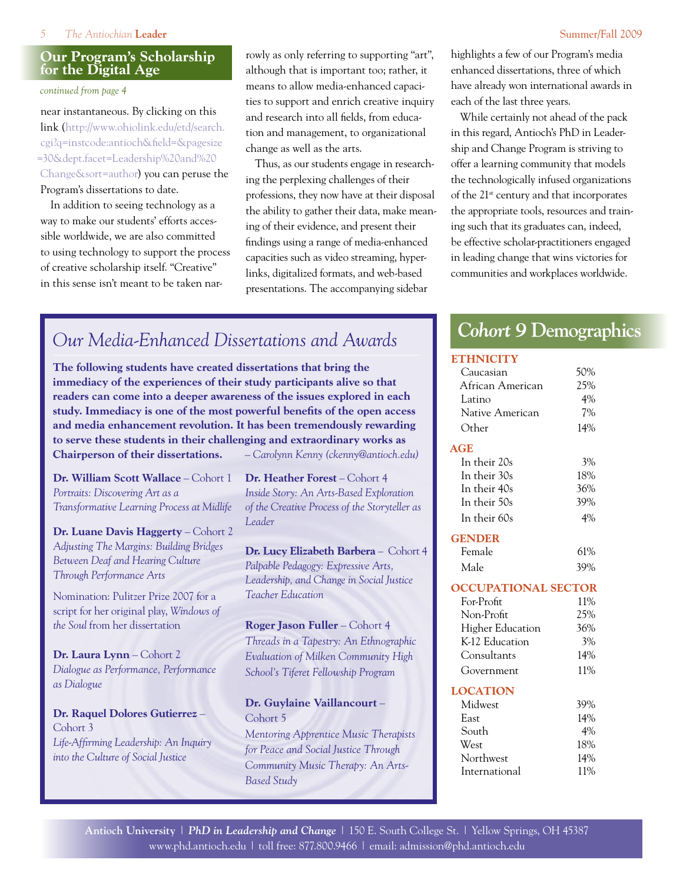#### **Our Program's Scholarship for the Digital Age**

*continued from page 4*

near instantaneous. By clicking on this link (http://www.ohiolink.edu/etd/search. cgi?q=instcode:antioch&field=&pagesize =30&dept.facet=Leadership%20and%20 Change&sort=author) you can peruse the Program's dissertations to date.

In addition to seeing technology as a way to make our students' efforts accessible worldwide, we are also committed to using technology to support the process of creative scholarship itself. "Creative" in this sense isn't meant to be taken narrowly as only referring to supporting "art", although that is important too; rather, it means to allow media-enhanced capacities to support and enrich creative inquiry and research into all fields, from education and management, to organizational change as well as the arts.

Thus, as our students engage in researching the perplexing challenges of their professions, they now have at their disposal the ability to gather their data, make meaning of their evidence, and present their findings using a range of media-enhanced capacities such as video streaming, hyperlinks, digitalized formats, and web-based presentations. The accompanying sidebar

highlights a few of our Program's media enhanced dissertations, three of which have already won international awards in each of the last three years.

While certainly not ahead of the pack in this regard, Antioch's PhD in Leadership and Change Program is striving to offer a learning community that models the technologically infused organizations of the 21<sup>st</sup> century and that incorporates the appropriate tools, resources and training such that its graduates can, indeed, be effective scholar-practitioners engaged in leading change that wins victories for communities and workplaces worldwide.

# *Our Media-Enhanced Dissertations and Awards*

**The following students have created dissertations that bring the immediacy of the experiences of their study participants alive so that readers can come into a deeper awareness of the issues explored in each study. Immediacy is one of the most powerful benefits of the open access and media enhancement revolution. It has been tremendously rewarding to serve these students in their challenging and extraordinary works as Chairperson of their dissertations.** *– Carolynn Kenny (ckenny@antioch.edu)*

**Dr. William Scott Wallace** – Cohort 1 *Portraits: Discovering Art as a Transformative Learning Process at Midlife*

**Dr. Luane Davis Haggerty** – Cohort 2 *Adjusting The Margins: Building Bridges Between Deaf and Hearing Culture Through Performance Arts*

Nomination: Pulitzer Prize 2007 for a script for her original play, *Windows of the Soul* from her dissertation

**Dr. Laura Lynn** – Cohort 2 *Dialogue as Performance, Performance as Dialogue*

**Dr. Raquel Dolores Gutierrez** – Cohort 3 *Life-Affirming Leadership: An Inquiry into the Culture of Social Justice*

**Dr. Heather Forest** – Cohort 4 *Inside Story: An Arts-Based Exploration of the Creative Process of the Storyteller as Leader*

**Dr. Lucy Elizabeth Barbera** – Cohort 4 *Palpable Pedagogy: Expressive Arts, Leadership, and Change in Social Justice Teacher Education*

**Roger Jason Fuller** – Cohort 4 *Threads in a Tapestry: An Ethnographic Evaluation of Milken Community High School's Tiferet Fellowship Program*

#### **Dr. Guylaine Vaillancourt** – Cohort 5

*Mentoring Apprentice Music Therapists for Peace and Social Justice Through Community Music Therapy: An Arts-Based Study*

# *Cohort 9* **Demographics**

#### **ETHNICITY**

| Caucasian                  | 50% |
|----------------------------|-----|
| African American           | 25% |
| Latino                     | 4%  |
| Native American            | 7%  |
| Other                      | 14% |
| <b>AGE</b>                 |     |
| In their 20s               | 3%  |
| In their 30s               | 18% |
| In their 40s               | 36% |
| In their 50s               | 39% |
| In their 60s               | 4%  |
| <b>GENDER</b>              |     |
| Female                     | 61% |
| Male                       | 39% |
|                            |     |
| <b>OCCUPATIONAL SECTOR</b> |     |
| For-Profit                 | 11% |
| Non-Profit                 | 25% |
| <b>Higher Education</b>    | 36% |
| K-12 Education             | 3%  |
| Consultants                | 14% |
| Government                 | 11% |
| <b>LOCATION</b>            |     |
| Midwest                    | 39% |
| East                       | 14% |
| South                      | 4%  |
| West                       | 18% |
| Northwest                  | 14% |
| International              | 11% |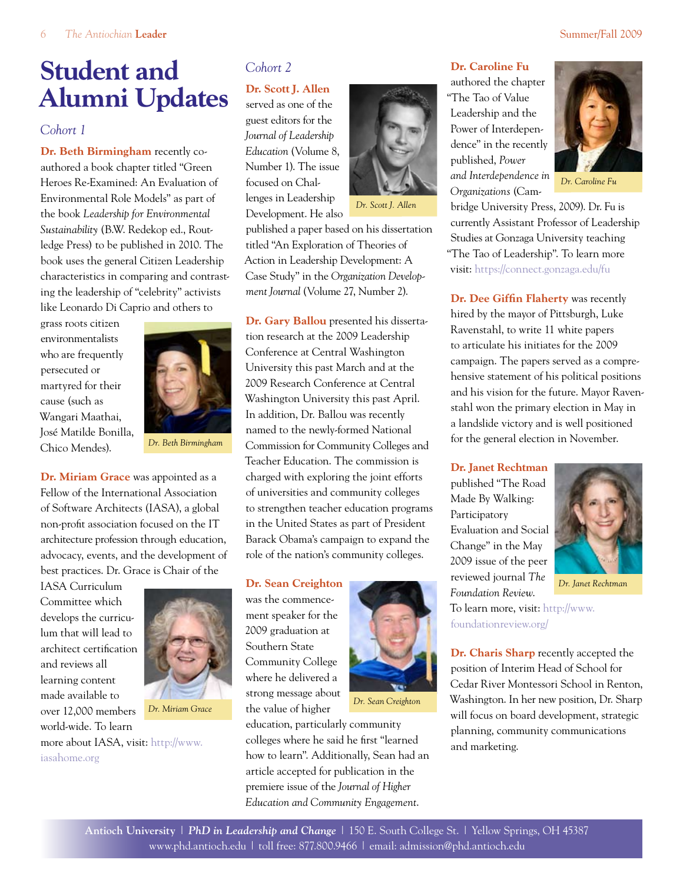# **Student and Alumni Updates**

#### *Cohort 1*

**Dr. Beth Birmingham** recently coauthored a book chapter titled "Green Heroes Re-Examined: An Evaluation of Environmental Role Models" as part of the book *Leadership for Environmental Sustainability* (B.W. Redekop ed., Routledge Press) to be published in 2010. The book uses the general Citizen Leadership characteristics in comparing and contrasting the leadership of "celebrity" activists like Leonardo Di Caprio and others to

grass roots citizen environmentalists who are frequently persecuted or martyred for their cause (such as Wangari Maathai, José Matilde Bonilla, Chico Mendes).



*Dr. Beth Birmingham*

**Dr. Miriam Grace** was appointed as a Fellow of the International Association of Software Architects (IASA), a global non-profit association focused on the IT architecture profession through education, advocacy, events, and the development of best practices. Dr. Grace is Chair of the

IASA Curriculum Committee which develops the curriculum that will lead to architect certification and reviews all learning content made available to over 12,000 members world-wide. To learn [more about IASA, visit: http://www.](http://www.iasahome.org/)

iasahome.org



*Dr. Miriam Grace*

*Cohort 2*

#### **Dr. Scott J. Allen**

served as one of the guest editors for the *Journal of Leadership Education* (Volume 8, Number 1). The issue focused on Challenges in Leadership Development. He also



*Dr. Scott J. Allen*

published a paper based on his dissertation titled "An Exploration of Theories of Action in Leadership Development: A Case Study" in the *Organization Development Journal* (Volume 27, Number 2).

**Dr. Gary Ballou** presented his dissertation research at the 2009 Leadership Conference at Central Washington University this past March and at the 2009 Research Conference at Central Washington University this past April. In addition, Dr. Ballou was recently named to the newly-formed National Commission for Community Colleges and Teacher Education. The commission is charged with exploring the joint efforts of universities and community colleges to strengthen teacher education programs in the United States as part of President Barack Obama's campaign to expand the role of the nation's community colleges.

#### **Dr. Sean Creighton**

was the commencement speaker for the 2009 graduation at Southern State Community College where he delivered a strong message about the value of higher



*Dr. Sean Creighton*

# authored the chapter

"The Tao of Value Leadership and the Power of Interdependence" in the recently published, *Power and Interdependence in Organizations* (Cam-

**Dr. Caroline Fu**



*Dr. Caroline Fu*

bridge University Press, 2009). Dr. Fu is currently Assistant Professor of Leadership Studies at Gonzaga University teaching "The Tao of Leadership". To learn more visit: https://connect.gonzaga.edu/fu

**Dr. Dee Giffin Flaherty** was recently hired by the mayor of Pittsburgh, Luke Ravenstahl, to write 11 white papers to articulate his initiates for the 2009 campaign. The papers served as a comprehensive statement of his political positions and his vision for the future. Mayor Ravenstahl won the primary election in May in a landslide victory and is well positioned for the general election in November.

#### **Dr. Janet Rechtman**

published "The Road Made By Walking: Participatory Evaluation and Social Change" in the May 2009 issue of the peer reviewed journal *The Foundation Review*.



*Dr. Janet Rechtman*

[To learn more, visit: http://www.](http://www.foundationreview.org/) foundationreview.org/

**Dr. Charis Sharp** recently accepted the position of Interim Head of School for Cedar River Montessori School in Renton, Washington. In her new position, Dr. Sharp will focus on board development, strategic planning, community communications and marketing.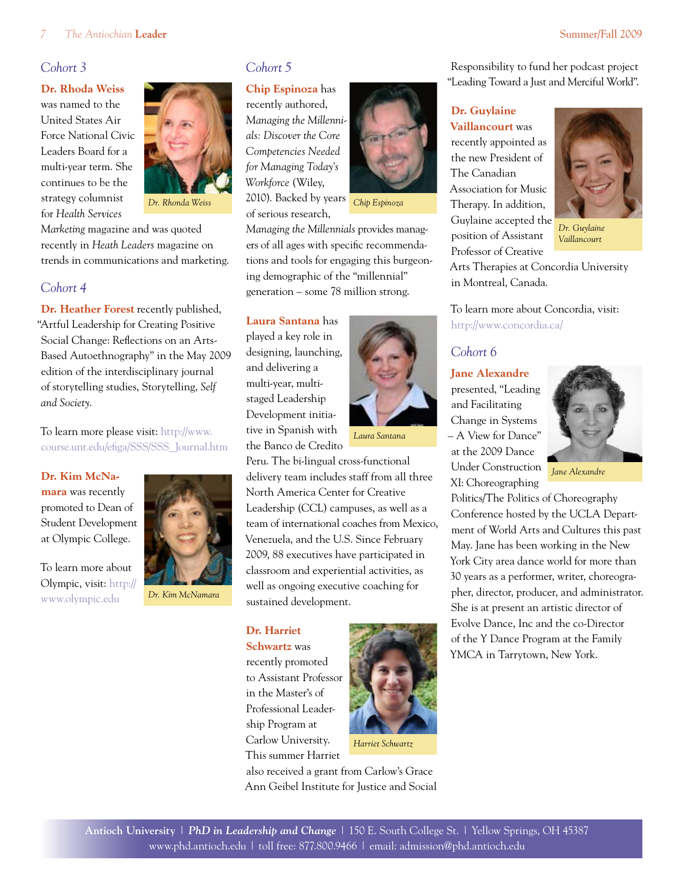#### *Cohort 3*

#### **Dr. Rhoda Weiss**

was named to the United States Air Force National Civic Leaders Board for a multi-year term. She continues to be the strategy columnist for *Health Services* 



*Dr. Rhonda Weiss*

*Marketing* magazine and was quoted recently in *Heath Leaders* magazine on trends in communications and marketing.

#### *Cohort 4*

**Dr. Heather Forest** recently published, "Artful Leadership for Creating Positive Social Change: Reflections on an Arts-Based Autoethnography" in the May 2009 edition of the interdisciplinary journal of storytelling studies, Storytelling, *Self and Society*.

To learn more please visit: http://www. [course.unt.edu/efiga/SSS/SSS\\_Journal.htm](http://www.course.unt.edu/efiga/SSS/SSS_Journal.htm)

#### **Dr. Kim McNa-**

**mara** was recently promoted to Dean of Student Development at Olympic College.

To learn more about Olympic, visit: http:// www.olympic.edu



*Dr. Kim McNamara*

#### *Cohort 5*

**Chip Espinoza** has recently authored,

*Managing the Millennials: Discover the Core Competencies Needed for Managing Today's Workforce* (Wiley, 2010). Backed by years of serious research,



*Chip Espinoza*

*Managing the Millennials* provides managers of all ages with specific recommendations and tools for engaging this burgeoning demographic of the "millennial" generation – some 78 million strong.

**Laura Santana** has played a key role in designing, launching, and delivering a multi-year, multistaged Leadership Development initiative in Spanish with the Banco de Credito



*Laura Santana*

Peru. The bi-lingual cross-functional delivery team includes staff from all three North America Center for Creative Leadership (CCL) campuses, as well as a team of international coaches from Mexico, Venezuela, and the U.S. Since February 2009, 88 executives have participated in classroom and experiential activities, as well as ongoing executive coaching for sustained development.

#### **Dr. Harriet**

**Schwartz** was recently promoted to Assistant Professor in the Master's of Professional Leadership Program at Carlow University. This summer Harriet



also received a grant from Carlow's Grace Ann Geibel Institute for Justice and Social

Responsibility to fund her podcast project "Leading Toward a Just and Merciful World".

#### **Dr. Guylaine Vaillancourt** was

recently appointed as the new President of The Canadian Association for Music Therapy. In addition, Guylaine accepted the position of Assistant Professor of Creative



*Dr. Guylaine Vaillancourt*

Arts Therapies at Concordia University in Montreal, Canada.

To learn more about Concordia, visit: http://www.concordia.ca/

#### *Cohort 6*

#### **Jane Alexandre**

presented, "Leading and Facilitating Change in Systems – A View for Dance" at the 2009 Dance Under Construction XI: Choreographing



*Jane Alexandre*

Politics/The Politics of Choreography Conference hosted by the UCLA Department of World Arts and Cultures this past May. Jane has been working in the New York City area dance world for more than 30 years as a performer, writer, choreographer, director, producer, and administrator. She is at present an artistic director of Evolve Dance, Inc and the co-Director of the Y Dance Program at the Family YMCA in Tarrytown, New York.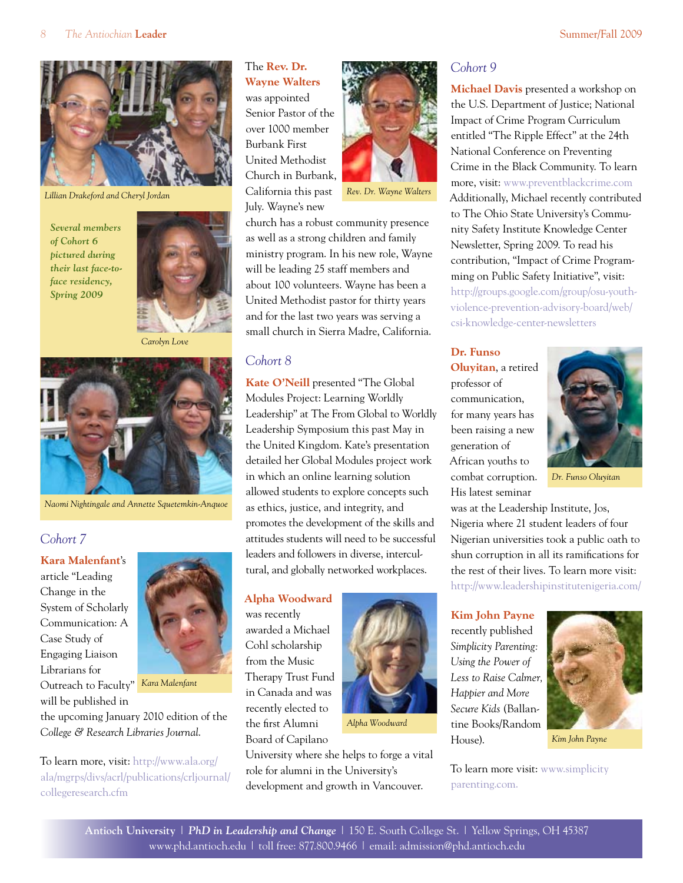

*Lillian Drakeford and Cheryl Jordan*

*Several members of Cohort 6 pictured during their last face-toface residency, Spring 2009*



*Carolyn Love*



*Naomi Nightingale and Annette Squetemkin-Anquoe*

#### *Cohort 7*

#### **Kara Malenfant**'s

article "Leading Change in the System of Scholarly Communication: A Case Study of Engaging Liaison Librarians for Outreach to Faculty" will be published in



*Kara Malenfant*

the upcoming January 2010 edition of the *College & Research Libraries Journal*.

To learn more, visit: http://www.ala.org/ [ala/mgrps/divs/acrl/publications/crljournal/](http://www.ala.org/ala/mgrps/divs/acrl/publications/crljournal/collegeresearch.cfm) collegeresearch.cfm

The **Rev. Dr. Wayne Walters** was appointed Senior Pastor of the over 1000 member Burbank First United Methodist Church in Burbank, California this past July. Wayne's new



church has a robust community presence as well as a strong children and family ministry program. In his new role, Wayne will be leading 25 staff members and about 100 volunteers. Wayne has been a United Methodist pastor for thirty years and for the last two years was serving a small church in Sierra Madre, California.

#### *Cohort 8*

**Kate O'Neill** presented "The Global Modules Project: Learning Worldly Leadership" at The From Global to Worldly Leadership Symposium this past May in the United Kingdom. Kate's presentation detailed her Global Modules project work in which an online learning solution allowed students to explore concepts such as ethics, justice, and integrity, and promotes the development of the skills and attitudes students will need to be successful leaders and followers in diverse, intercultural, and globally networked workplaces.

#### **Alpha Woodward**

was recently awarded a Michael Cohl scholarship from the Music Therapy Trust Fund in Canada and was recently elected to the first Alumni Board of Capilano

University where she helps to forge a vital role for alumni in the University's development and growth in Vancouver.



*Alpha Woodward*

## *Cohort 9*

**Michael Davis** presented a workshop on the U.S. Department of Justice; National Impact of Crime Program Curriculum entitled "The Ripple Effect" at the 24th National Conference on Preventing Crime in the Black Community. To learn more, visit: www.preventblackcrime.com Additionally, Michael recently contributed to The Ohio State University's Community Safety Institute Knowledge Center Newsletter, Spring 2009. To read his contribution, "Impact of Crime Programming on Public Safety Initiative", visit: [http://groups.google.com/group/osu-youth](http://groups.google.com/group/osu-youth-violence-prevention-advisory-board/web/csi-knowledge-center-newsletters)violence-prevention-advisory-board/web/ csi-knowledge-center-newsletters

#### **Dr. Funso**

**Oluyitan**, a retired professor of communication, for many years has been raising a new generation of African youths to combat corruption. His latest seminar



*Dr. Funso Oluyitan*

was at the Leadership Institute, Jos, Nigeria where 21 student leaders of four Nigerian universities took a public oath to shun corruption in all its ramifications for the rest of their lives. To learn more visit: http://www.leadershipinstitutenigeria.com/

#### **Kim John Payne**

recently published *Simplicity Parenting: Using the Power of Less to Raise Calmer, Happier and More Secure Kids* (Ballantine Books/Random House).



[To learn more visit: www.simplicity](http://www.simplicityparenting.com/) parenting.com.

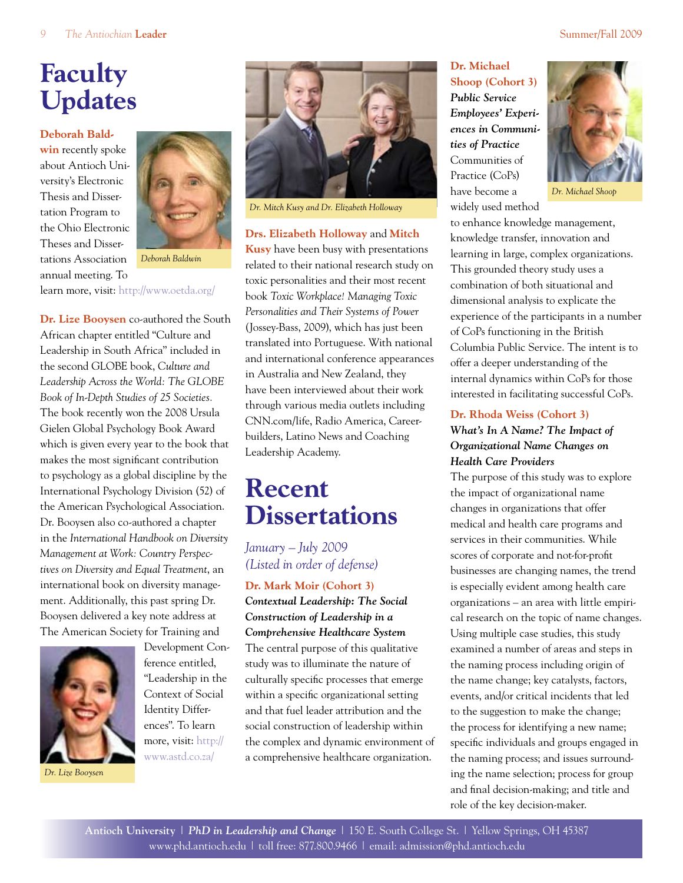# **Faculty Updates**

#### **Deborah Bald-**

**win** recently spoke about Antioch University's Electronic Thesis and Dissertation Program to the Ohio Electronic Theses and Dissertations Association annual meeting. To



*Deborah Baldwin*

learn more, visit: http://www.oetda.org/

**Dr. Lize Booysen** co-authored the South African chapter entitled "Culture and Leadership in South Africa" included in the second GLOBE book, *Culture and Leadership Across the World: The GLOBE Book of In-Depth Studies of 25 Societies.* The book recently won the 2008 Ursula Gielen Global Psychology Book Award which is given every year to the book that makes the most significant contribution to psychology as a global discipline by the International Psychology Division (52) of the American Psychological Association. Dr. Booysen also co-authored a chapter in the *International Handbook on Diversity Management at Work: Country Perspectives on Diversity and Equal Treatment*, an international book on diversity management. Additionally, this past spring Dr. Booysen delivered a key note address at The American Society for Training and



Development Conference entitled, "Leadership in the Context of Social Identity Differences". To learn more, visit: http:// www.astd.co.za/

*Dr. Lize Booysen*



*Dr. Mitch Kusy and Dr. Elizabeth Holloway*

**Drs. Elizabeth Holloway** and **Mitch** 

**Kusy** have been busy with presentations related to their national research study on toxic personalities and their most recent book *Toxic Workplace! Managing Toxic Personalities and Their Systems of Power*  (Jossey-Bass, 2009), which has just been translated into Portuguese. With national and international conference appearances in Australia and New Zealand, they have been interviewed about their work through various media outlets including CNN.com/life, Radio America, Careerbuilders, Latino News and Coaching Leadership Academy.

# **Recent Dissertations**

#### *January – July 2009 (Listed in order of defense)*

#### **Dr. Mark Moir (Cohort 3)**

*Contextual Leadership: The Social Construction of Leadership in a Comprehensive Healthcare System*

The central purpose of this qualitative study was to illuminate the nature of culturally specific processes that emerge within a specific organizational setting and that fuel leader attribution and the social construction of leadership within the complex and dynamic environment of a comprehensive healthcare organization.

#### **Dr. Michael Shoop (Cohort 3)** *Public Service Employees' Experiences in Communities of Practice* Communities of Practice (CoPs) have become a

widely used method



*Dr. Michael Shoop*

to enhance knowledge management, knowledge transfer, innovation and learning in large, complex organizations. This grounded theory study uses a combination of both situational and dimensional analysis to explicate the experience of the participants in a number of CoPs functioning in the British Columbia Public Service. The intent is to offer a deeper understanding of the internal dynamics within CoPs for those interested in facilitating successful CoPs.

#### **Dr. Rhoda Weiss (Cohort 3)**

#### *What's In A Name? The Impact of Organizational Name Changes on Health Care Providers*

The purpose of this study was to explore the impact of organizational name changes in organizations that offer medical and health care programs and services in their communities. While scores of corporate and not-for-profit businesses are changing names, the trend is especially evident among health care organizations – an area with little empirical research on the topic of name changes. Using multiple case studies, this study examined a number of areas and steps in the naming process including origin of the name change; key catalysts, factors, events, and/or critical incidents that led to the suggestion to make the change; the process for identifying a new name; specific individuals and groups engaged in the naming process; and issues surrounding the name selection; process for group and final decision-making; and title and role of the key decision-maker.